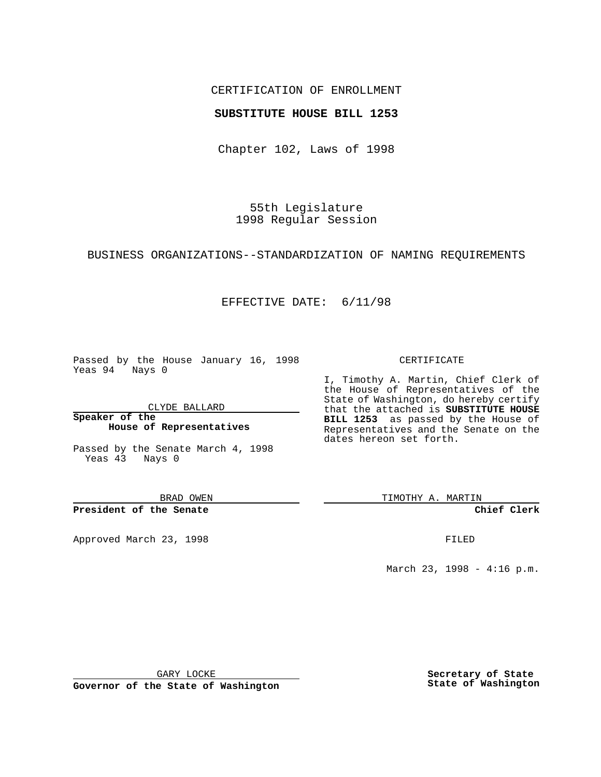## CERTIFICATION OF ENROLLMENT

### **SUBSTITUTE HOUSE BILL 1253**

Chapter 102, Laws of 1998

55th Legislature 1998 Regular Session

#### BUSINESS ORGANIZATIONS--STANDARDIZATION OF NAMING REQUIREMENTS

# EFFECTIVE DATE: 6/11/98

Passed by the House January 16, 1998 Yeas 94 Nays 0

CLYDE BALLARD

**Speaker of the House of Representatives**

Passed by the Senate March 4, 1998 Yeas 43 Nays 0

BRAD OWEN

**President of the Senate**

Approved March 23, 1998 **FILED** 

### CERTIFICATE

I, Timothy A. Martin, Chief Clerk of the House of Representatives of the State of Washington, do hereby certify that the attached is **SUBSTITUTE HOUSE BILL 1253** as passed by the House of Representatives and the Senate on the dates hereon set forth.

TIMOTHY A. MARTIN

**Chief Clerk**

March 23, 1998 - 4:16 p.m.

GARY LOCKE

**Governor of the State of Washington**

**Secretary of State State of Washington**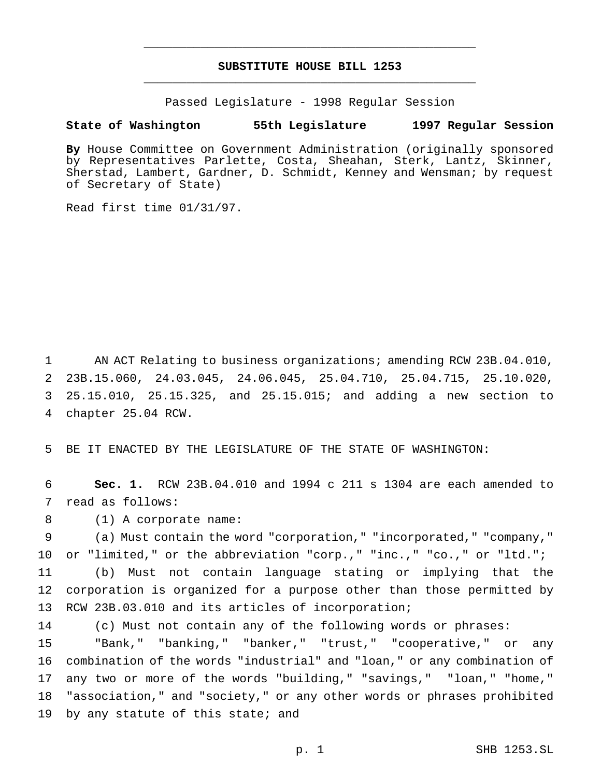# **SUBSTITUTE HOUSE BILL 1253** \_\_\_\_\_\_\_\_\_\_\_\_\_\_\_\_\_\_\_\_\_\_\_\_\_\_\_\_\_\_\_\_\_\_\_\_\_\_\_\_\_\_\_\_\_\_\_

\_\_\_\_\_\_\_\_\_\_\_\_\_\_\_\_\_\_\_\_\_\_\_\_\_\_\_\_\_\_\_\_\_\_\_\_\_\_\_\_\_\_\_\_\_\_\_

Passed Legislature - 1998 Regular Session

### **State of Washington 55th Legislature 1997 Regular Session**

**By** House Committee on Government Administration (originally sponsored by Representatives Parlette, Costa, Sheahan, Sterk, Lantz, Skinner, Sherstad, Lambert, Gardner, D. Schmidt, Kenney and Wensman; by request of Secretary of State)

Read first time 01/31/97.

1 AN ACT Relating to business organizations; amending RCW 23B.04.010, 23B.15.060, 24.03.045, 24.06.045, 25.04.710, 25.04.715, 25.10.020, 25.15.010, 25.15.325, and 25.15.015; and adding a new section to chapter 25.04 RCW.

5 BE IT ENACTED BY THE LEGISLATURE OF THE STATE OF WASHINGTON:

6 **Sec. 1.** RCW 23B.04.010 and 1994 c 211 s 1304 are each amended to 7 read as follows:

8 (1) A corporate name:

 (a) Must contain the word "corporation," "incorporated," "company," or "limited," or the abbreviation "corp.," "inc.," "co.," or "ltd."; (b) Must not contain language stating or implying that the corporation is organized for a purpose other than those permitted by RCW 23B.03.010 and its articles of incorporation;

 (c) Must not contain any of the following words or phrases: "Bank," "banking," "banker," "trust," "cooperative," or any combination of the words "industrial" and "loan," or any combination of any two or more of the words "building," "savings," "loan," "home," "association," and "society," or any other words or phrases prohibited 19 by any statute of this state; and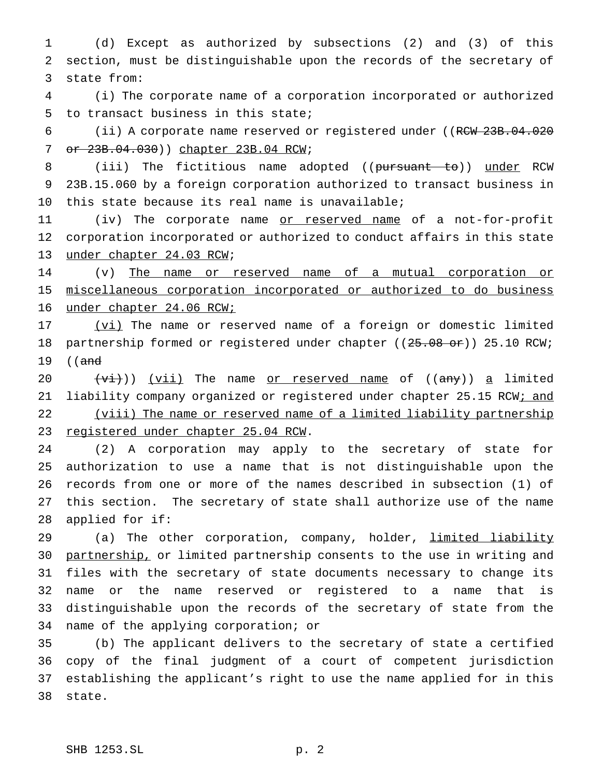(d) Except as authorized by subsections (2) and (3) of this section, must be distinguishable upon the records of the secretary of state from:

 (i) The corporate name of a corporation incorporated or authorized to transact business in this state;

6 (ii) A corporate name reserved or registered under ((RCW 23B.04.020) 7 or  $23B.04.030$ ) chapter 23B.04 RCW;

8 (iii) The fictitious name adopted ((pursuant to)) under RCW 23B.15.060 by a foreign corporation authorized to transact business in this state because its real name is unavailable;

11 (iv) The corporate name <u>or reserved name</u> of a not-for-profit corporation incorporated or authorized to conduct affairs in this state under chapter 24.03 RCW;

 (v) The name or reserved name of a mutual corporation or miscellaneous corporation incorporated or authorized to do business under chapter 24.06 RCW;

17 (vi) The name or reserved name of a foreign or domestic limited 18 partnership formed or registered under chapter ((25.08 or)) 25.10 RCW; 19 ((and

20  $(vi)$ ) (vii) The name or reserved name of ((any)) a limited 21 liability company organized or registered under chapter 25.15 RCW; and 22 (viii) The name or reserved name of a limited liability partnership 23 registered under chapter 25.04 RCW.

 (2) A corporation may apply to the secretary of state for authorization to use a name that is not distinguishable upon the records from one or more of the names described in subsection (1) of this section. The secretary of state shall authorize use of the name applied for if:

29 (a) The other corporation, company, holder, limited liability 30 partnership, or limited partnership consents to the use in writing and files with the secretary of state documents necessary to change its name or the name reserved or registered to a name that is distinguishable upon the records of the secretary of state from the name of the applying corporation; or

 (b) The applicant delivers to the secretary of state a certified copy of the final judgment of a court of competent jurisdiction establishing the applicant's right to use the name applied for in this state.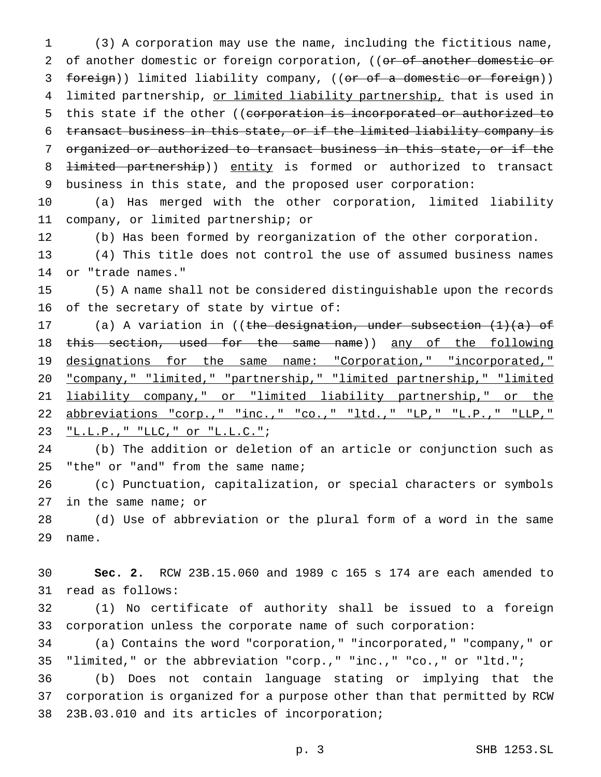(3) A corporation may use the name, including the fictitious name, 2 of another domestic or foreign corporation, ((or of another domestic or 3 foreign)) limited liability company, ((or of a domestic or foreign)) 4 limited partnership, or limited liability partnership, that is used in 5 this state if the other ((corporation is incorporated or authorized to transact business in this state, or if the limited liability company is organized or authorized to transact business in this state, or if the 8 <del>limited partnership</del>)) entity is formed or authorized to transact business in this state, and the proposed user corporation: (a) Has merged with the other corporation, limited liability company, or limited partnership; or (b) Has been formed by reorganization of the other corporation.

 (4) This title does not control the use of assumed business names or "trade names."

 (5) A name shall not be considered distinguishable upon the records of the secretary of state by virtue of:

17 (a) A variation in ((the designation, under subsection (1)(a) of 18 this section, used for the same name)) <u>any of the following</u> designations for the same name: "Corporation," "incorporated," "company," "limited," "partnership," "limited partnership," "limited liability company," or "limited liability partnership," or the abbreviations "corp.," "inc.," "co.," "ltd.," "LP," "L.P.," "LLP," "L.L.P.," "LLC," or "L.L.C.";

 (b) The addition or deletion of an article or conjunction such as "the" or "and" from the same name;

 (c) Punctuation, capitalization, or special characters or symbols in the same name; or

 (d) Use of abbreviation or the plural form of a word in the same name.

 **Sec. 2.** RCW 23B.15.060 and 1989 c 165 s 174 are each amended to read as follows:

 (1) No certificate of authority shall be issued to a foreign corporation unless the corporate name of such corporation:

 (a) Contains the word "corporation," "incorporated," "company," or "limited," or the abbreviation "corp.," "inc.," "co.," or "ltd.";

 (b) Does not contain language stating or implying that the corporation is organized for a purpose other than that permitted by RCW 23B.03.010 and its articles of incorporation;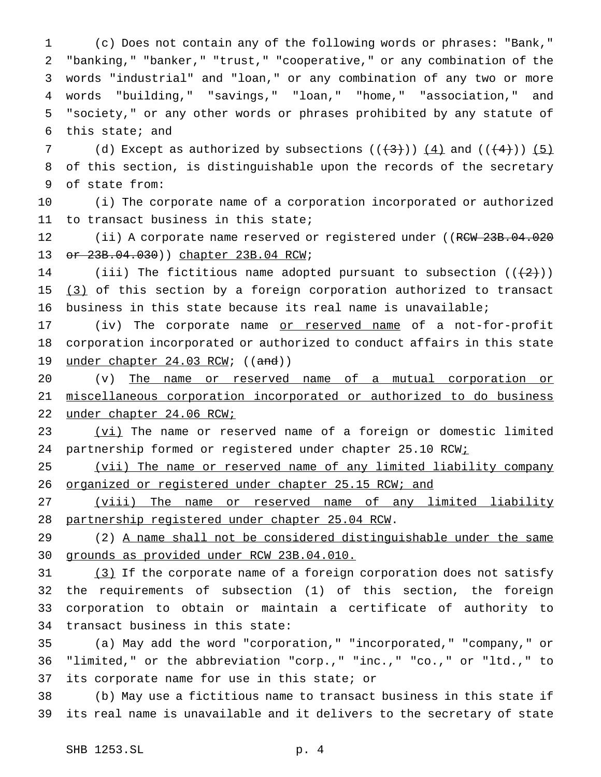(c) Does not contain any of the following words or phrases: "Bank," "banking," "banker," "trust," "cooperative," or any combination of the words "industrial" and "loan," or any combination of any two or more words "building," "savings," "loan," "home," "association," and "society," or any other words or phrases prohibited by any statute of this state; and

7 (d) Except as authorized by subsections  $((+3))$   $(4)$  and  $((+4))$   $(5)$  of this section, is distinguishable upon the records of the secretary of state from:

 (i) The corporate name of a corporation incorporated or authorized to transact business in this state;

12 (ii) A corporate name reserved or registered under ((RCW 23B.04.020 or 23B.04.030)) chapter 23B.04 RCW;

14 (iii) The fictitious name adopted pursuant to subsection  $((+2)^i)$ 15 (3) of this section by a foreign corporation authorized to transact business in this state because its real name is unavailable;

17 (iv) The corporate name or reserved name of a not-for-profit corporation incorporated or authorized to conduct affairs in this state 19 under chapter 24.03 RCW; ((and))

 (v) The name or reserved name of a mutual corporation or miscellaneous corporation incorporated or authorized to do business under chapter 24.06 RCW;

23 (vi) The name or reserved name of a foreign or domestic limited 24 partnership formed or registered under chapter 25.10 RCWi

 (vii) The name or reserved name of any limited liability company 26 organized or registered under chapter 25.15 RCW; and

27 (viii) The name or reserved name of any limited liability partnership registered under chapter 25.04 RCW.

 (2) A name shall not be considered distinguishable under the same grounds as provided under RCW 23B.04.010.

31 (3) If the corporate name of a foreign corporation does not satisfy the requirements of subsection (1) of this section, the foreign corporation to obtain or maintain a certificate of authority to transact business in this state:

 (a) May add the word "corporation," "incorporated," "company," or "limited," or the abbreviation "corp.," "inc.," "co.," or "ltd.," to its corporate name for use in this state; or

 (b) May use a fictitious name to transact business in this state if its real name is unavailable and it delivers to the secretary of state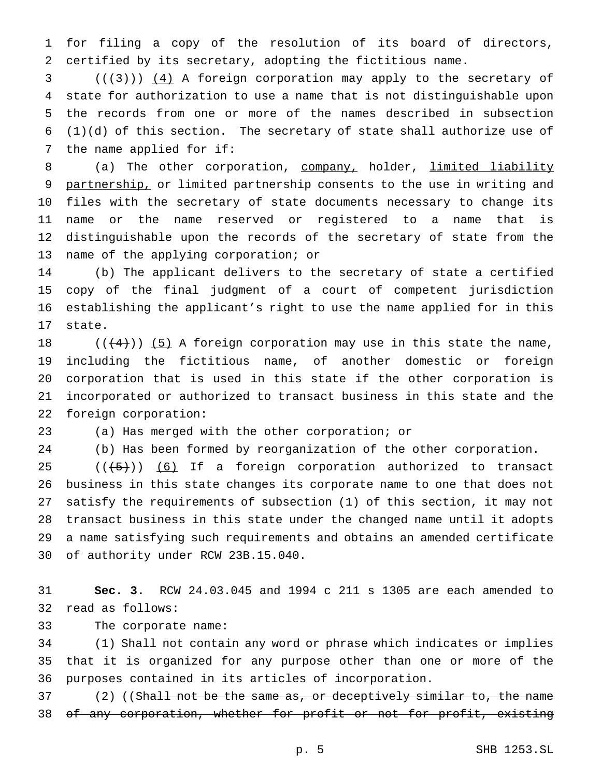for filing a copy of the resolution of its board of directors, certified by its secretary, adopting the fictitious name.

 $(1,3)$  ( $(1,3)$ ) (4) A foreign corporation may apply to the secretary of state for authorization to use a name that is not distinguishable upon the records from one or more of the names described in subsection (1)(d) of this section. The secretary of state shall authorize use of the name applied for if:

8 (a) The other corporation, company, holder, limited liability 9 partnership, or limited partnership consents to the use in writing and files with the secretary of state documents necessary to change its name or the name reserved or registered to a name that is distinguishable upon the records of the secretary of state from the name of the applying corporation; or

 (b) The applicant delivers to the secretary of state a certified copy of the final judgment of a court of competent jurisdiction establishing the applicant's right to use the name applied for in this state.

 $((+4))$  (5) A foreign corporation may use in this state the name, including the fictitious name, of another domestic or foreign corporation that is used in this state if the other corporation is incorporated or authorized to transact business in this state and the foreign corporation:

(a) Has merged with the other corporation; or

(b) Has been formed by reorganization of the other corporation.

 $((+5))$   $(6)$  If a foreign corporation authorized to transact business in this state changes its corporate name to one that does not satisfy the requirements of subsection (1) of this section, it may not transact business in this state under the changed name until it adopts a name satisfying such requirements and obtains an amended certificate of authority under RCW 23B.15.040.

 **Sec. 3.** RCW 24.03.045 and 1994 c 211 s 1305 are each amended to read as follows:

The corporate name:

 (1) Shall not contain any word or phrase which indicates or implies that it is organized for any purpose other than one or more of the purposes contained in its articles of incorporation.

37 (2) ((Shall not be the same as, or deceptively similar to, the name 38 of any corporation, whether for profit or not for profit, existing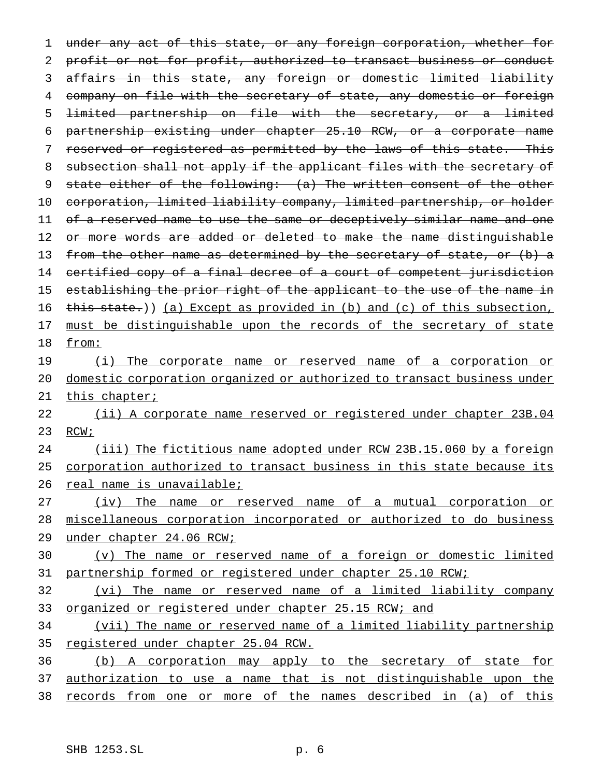1 under any act of this state, or any foreign corporation, whether for 2 profit or not for profit, authorized to transact business or conduct 3 affairs in this state, any foreign or domestic limited liability 4 company on file with the secretary of state, any domestic or foreign 5 limited partnership on file with the secretary, or a limited 6 partnership existing under chapter 25.10 RCW, or a corporate name 7 reserved or registered as permitted by the laws of this state. This 8 subsection shall not apply if the applicant files with the secretary of 9 state either of the following: (a) The written consent of the other 10 corporation, limited liability company, limited partnership, or holder 11 of a reserved name to use the same or deceptively similar name and one 12 or more words are added or deleted to make the name distinguishable 13 from the other name as determined by the secretary of state, or (b) a 14 certified copy of a final decree of a court of competent jurisdiction 15 establishing the prior right of the applicant to the use of the name in 16 this state.)) (a) Except as provided in (b) and (c) of this subsection, 17 must be distinguishable upon the records of the secretary of state 18 from: 19 (i) The corporate name or reserved name of a corporation or

20 domestic corporation organized or authorized to transact business under 21 this chapter;

22 (ii) A corporate name reserved or registered under chapter 23B.04 23 RCW;

24 (iii) The fictitious name adopted under RCW 23B.15.060 by a foreign 25 corporation authorized to transact business in this state because its 26 real name is unavailable;

27 (iv) The name or reserved name of a mutual corporation or 28 miscellaneous corporation incorporated or authorized to do business 29 under chapter 24.06 RCW;

30 (v) The name or reserved name of a foreign or domestic limited 31 partnership formed or registered under chapter 25.10 RCW;

32 (vi) The name or reserved name of a limited liability company 33 organized or registered under chapter 25.15 RCW; and

34 (vii) The name or reserved name of a limited liability partnership 35 registered under chapter 25.04 RCW.

36 (b) A corporation may apply to the secretary of state for 37 authorization to use a name that is not distinguishable upon the 38 records from one or more of the names described in (a) of this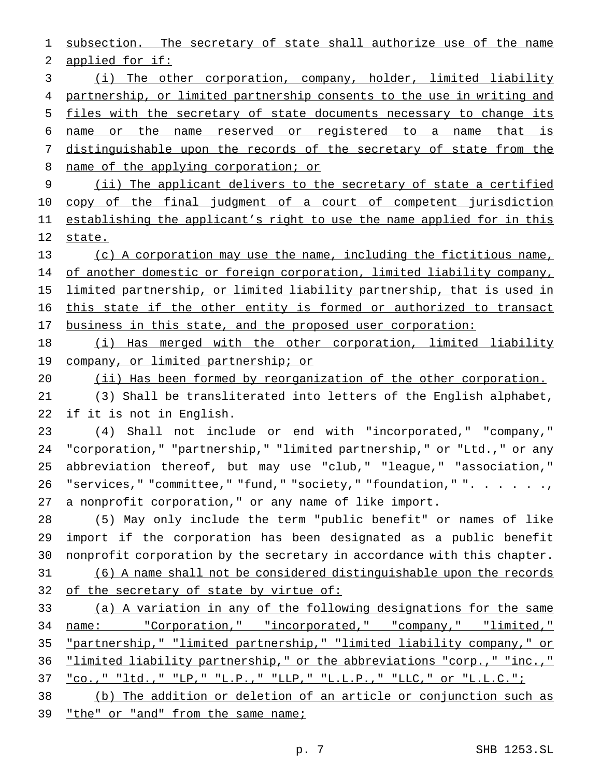subsection. The secretary of state shall authorize use of the name applied for if: (i) The other corporation, company, holder, limited liability 4 partnership, or limited partnership consents to the use in writing and files with the secretary of state documents necessary to change its name or the name reserved or registered to a name that is 7 distinguishable upon the records of the secretary of state from the 8 name of the applying corporation; or (ii) The applicant delivers to the secretary of state a certified 10 copy of the final judgment of a court of competent jurisdiction 11 establishing the applicant's right to use the name applied for in this 12 state. (c) A corporation may use the name, including the fictitious name, 14 of another domestic or foreign corporation, limited liability company, limited partnership, or limited liability partnership, that is used in this state if the other entity is formed or authorized to transact 17 business in this state, and the proposed user corporation: (i) Has merged with the other corporation, limited liability 19 company, or limited partnership; or (ii) Has been formed by reorganization of the other corporation. (3) Shall be transliterated into letters of the English alphabet, if it is not in English. (4) Shall not include or end with "incorporated," "company," "corporation," "partnership," "limited partnership," or "Ltd.," or any abbreviation thereof, but may use "club," "league," "association," 26 "services," "committee," "fund," "society," "foundation," ". . . . . ., a nonprofit corporation," or any name of like import. (5) May only include the term "public benefit" or names of like import if the corporation has been designated as a public benefit nonprofit corporation by the secretary in accordance with this chapter. (6) A name shall not be considered distinguishable upon the records 32 of the secretary of state by virtue of: (a) A variation in any of the following designations for the same name: "Corporation," "incorporated," "company," "limited," "partnership," "limited partnership," "limited liability company," or "limited liability partnership," or the abbreviations "corp.," "inc.," "co.," "ltd.," "LP," "L.P.," "LLP," "L.L.P.," "LLC," or "L.L.C.";

 (b) The addition or deletion of an article or conjunction such as "the" or "and" from the same name;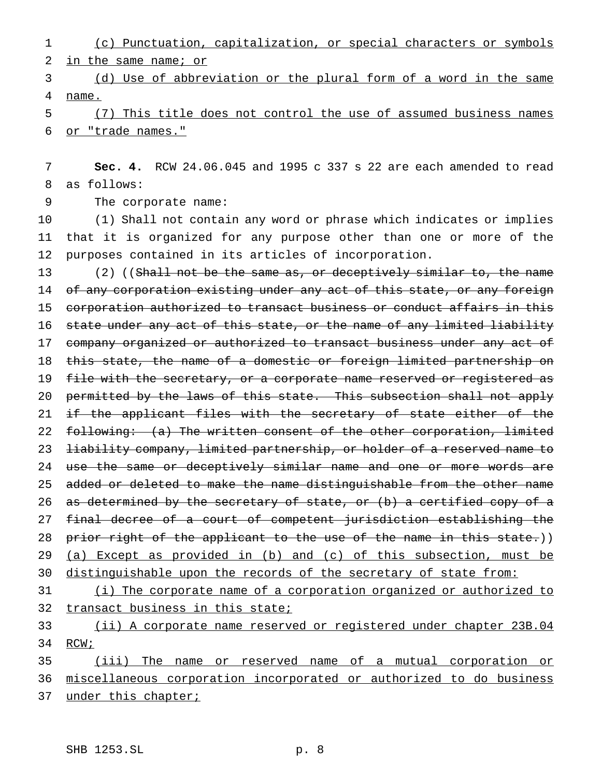1 (c) Punctuation, capitalization, or special characters or symbols 2 in the same name; or

3 (d) Use of abbreviation or the plural form of a word in the same 4 name.

5 (7) This title does not control the use of assumed business names 6 or "trade names."

7 **Sec. 4.** RCW 24.06.045 and 1995 c 337 s 22 are each amended to read 8 as follows:

9 The corporate name:

10 (1) Shall not contain any word or phrase which indicates or implies 11 that it is organized for any purpose other than one or more of the 12 purposes contained in its articles of incorporation.

13 (2) ((Shall not be the same as, or deceptively similar to, the name 14 of any corporation existing under any act of this state, or any foreign 15 corporation authorized to transact business or conduct affairs in this 16 state under any act of this state, or the name of any limited liability 17 company organized or authorized to transact business under any act of 18 this state, the name of a domestic or foreign limited partnership on 19 file with the secretary, or a corporate name reserved or registered as 20 permitted by the laws of this state. This subsection shall not apply 21 if the applicant files with the secretary of state either of the 22 following: (a) The written consent of the other corporation, limited 23 liability company, limited partnership, or holder of a reserved name to 24 use the same or deceptively similar name and one or more words are 25 added or deleted to make the name distinguishable from the other name 26 as determined by the secretary of state, or (b) a certified copy of a 27 final decree of a court of competent jurisdiction establishing the 28 prior right of the applicant to the use of the name in this state.)) 29 (a) Except as provided in (b) and (c) of this subsection, must be 30 distinguishable upon the records of the secretary of state from:

31 (i) The corporate name of a corporation organized or authorized to 32 transact business in this state;

33 (ii) A corporate name reserved or registered under chapter 23B.04 34 RCW;

35 (iii) The name or reserved name of a mutual corporation or 36 miscellaneous corporation incorporated or authorized to do business 37 under this chapter;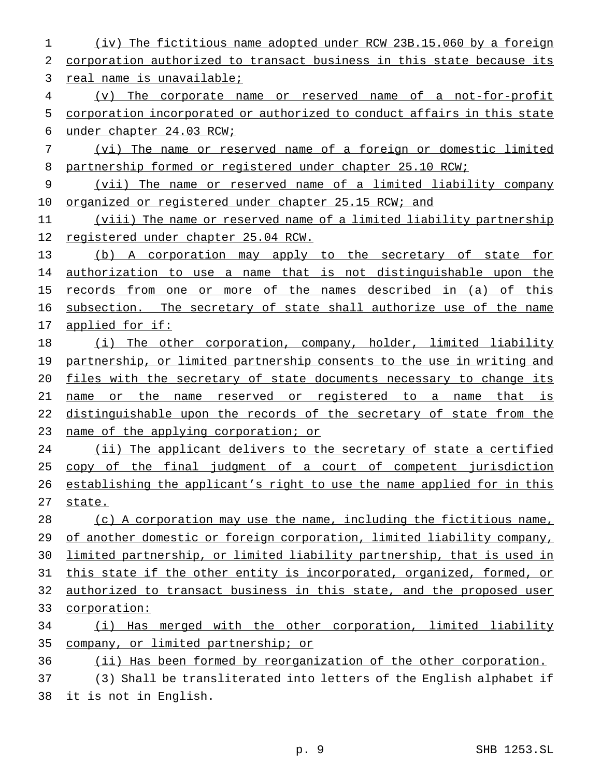(iv) The fictitious name adopted under RCW 23B.15.060 by a foreign corporation authorized to transact business in this state because its 3 real name is unavailable; (v) The corporate name or reserved name of a not-for-profit corporation incorporated or authorized to conduct affairs in this state under chapter 24.03 RCW; (vi) The name or reserved name of a foreign or domestic limited partnership formed or registered under chapter 25.10 RCW; (vii) The name or reserved name of a limited liability company 10 organized or registered under chapter 25.15 RCW; and (viii) The name or reserved name of a limited liability partnership registered under chapter 25.04 RCW. (b) A corporation may apply to the secretary of state for authorization to use a name that is not distinguishable upon the records from one or more of the names described in (a) of this 16 subsection. The secretary of state shall authorize use of the name applied for if: (i) The other corporation, company, holder, limited liability 19 partnership, or limited partnership consents to the use in writing and files with the secretary of state documents necessary to change its name or the name reserved or registered to a name that is distinguishable upon the records of the secretary of state from the 23 name of the applying corporation; or 24 (ii) The applicant delivers to the secretary of state a certified copy of the final judgment of a court of competent jurisdiction 26 establishing the applicant's right to use the name applied for in this 27 state. (c) A corporation may use the name, including the fictitious name, 29 of another domestic or foreign corporation, limited liability company, limited partnership, or limited liability partnership, that is used in this state if the other entity is incorporated, organized, formed, or 32 authorized to transact business in this state, and the proposed user corporation: (i) Has merged with the other corporation, limited liability company, or limited partnership; or (ii) Has been formed by reorganization of the other corporation. (3) Shall be transliterated into letters of the English alphabet if

it is not in English.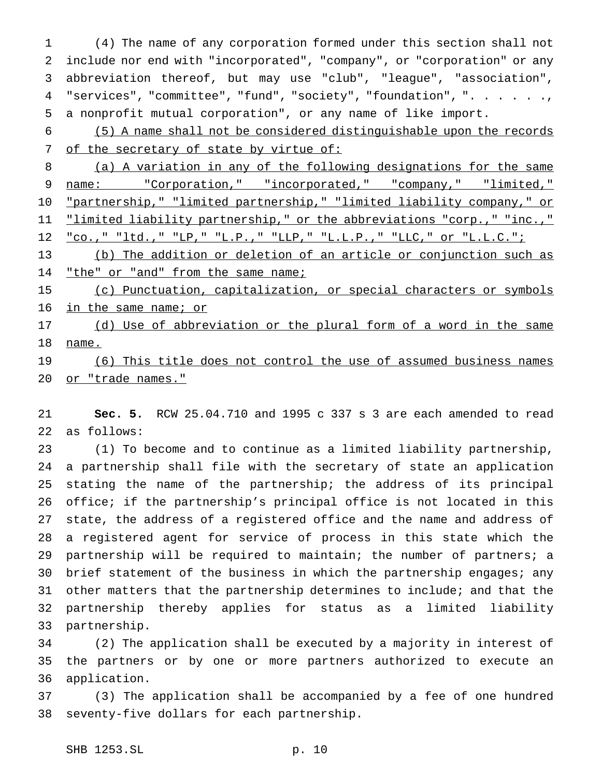(4) The name of any corporation formed under this section shall not include nor end with "incorporated", "company", or "corporation" or any abbreviation thereof, but may use "club", "league", "association", 4 "services", "committee", "fund", "society", "foundation", ". . . . . ., a nonprofit mutual corporation", or any name of like import.

 (5) A name shall not be considered distinguishable upon the records 7 of the secretary of state by virtue of:

 (a) A variation in any of the following designations for the same name: "Corporation," "incorporated," "company," "limited," "partnership," "limited partnership," "limited liability company," or 11 "limited liability partnership," or the abbreviations "corp.," "inc.," "co.," "ltd.," "LP," "L.P.," "LLP," "L.L.P.," "LLC," or "L.L.C.";

 (b) The addition or deletion of an article or conjunction such as 14 "the" or "and" from the same name;

 (c) Punctuation, capitalization, or special characters or symbols 16 in the same name; or

17 (d) Use of abbreviation or the plural form of a word in the same name.

19 (6) This title does not control the use of assumed business names 20 or "trade names."

 **Sec. 5.** RCW 25.04.710 and 1995 c 337 s 3 are each amended to read as follows:

 (1) To become and to continue as a limited liability partnership, a partnership shall file with the secretary of state an application stating the name of the partnership; the address of its principal office; if the partnership's principal office is not located in this state, the address of a registered office and the name and address of a registered agent for service of process in this state which the partnership will be required to maintain; the number of partners; a 30 brief statement of the business in which the partnership engages; any other matters that the partnership determines to include; and that the partnership thereby applies for status as a limited liability partnership.

 (2) The application shall be executed by a majority in interest of the partners or by one or more partners authorized to execute an application.

 (3) The application shall be accompanied by a fee of one hundred seventy-five dollars for each partnership.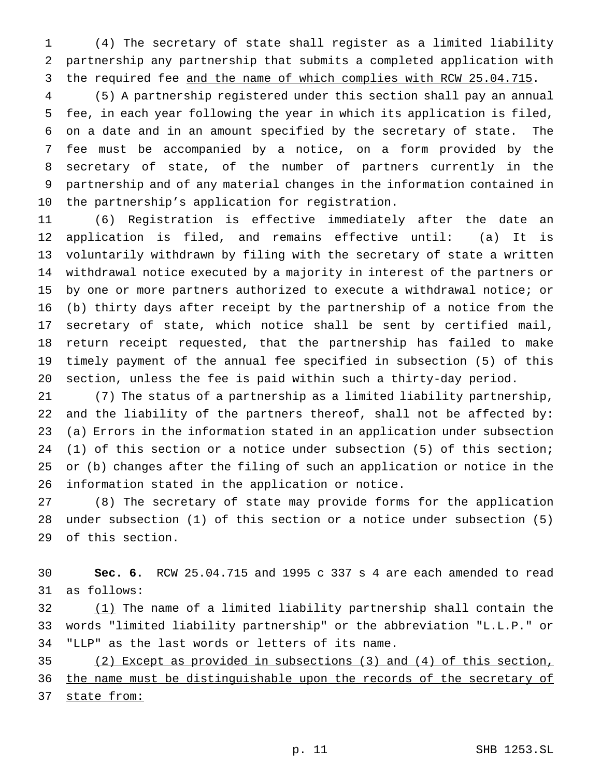(4) The secretary of state shall register as a limited liability partnership any partnership that submits a completed application with 3 the required fee and the name of which complies with RCW 25.04.715.

 (5) A partnership registered under this section shall pay an annual fee, in each year following the year in which its application is filed, on a date and in an amount specified by the secretary of state. The fee must be accompanied by a notice, on a form provided by the secretary of state, of the number of partners currently in the partnership and of any material changes in the information contained in the partnership's application for registration.

 (6) Registration is effective immediately after the date an application is filed, and remains effective until: (a) It is voluntarily withdrawn by filing with the secretary of state a written withdrawal notice executed by a majority in interest of the partners or by one or more partners authorized to execute a withdrawal notice; or (b) thirty days after receipt by the partnership of a notice from the secretary of state, which notice shall be sent by certified mail, return receipt requested, that the partnership has failed to make timely payment of the annual fee specified in subsection (5) of this section, unless the fee is paid within such a thirty-day period.

 (7) The status of a partnership as a limited liability partnership, and the liability of the partners thereof, shall not be affected by: (a) Errors in the information stated in an application under subsection (1) of this section or a notice under subsection (5) of this section; or (b) changes after the filing of such an application or notice in the information stated in the application or notice.

 (8) The secretary of state may provide forms for the application under subsection (1) of this section or a notice under subsection (5) of this section.

 **Sec. 6.** RCW 25.04.715 and 1995 c 337 s 4 are each amended to read as follows:

32 (1) The name of a limited liability partnership shall contain the words "limited liability partnership" or the abbreviation "L.L.P." or "LLP" as the last words or letters of its name.

 (2) Except as provided in subsections (3) and (4) of this section, 36 the name must be distinguishable upon the records of the secretary of state from: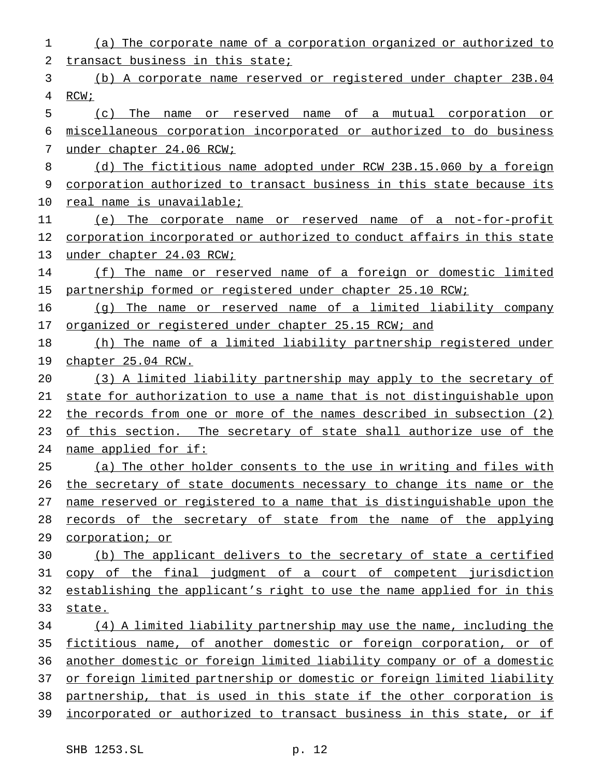(a) The corporate name of a corporation organized or authorized to transact business in this state; (b) A corporate name reserved or registered under chapter 23B.04 RCW; (c) The name or reserved name of a mutual corporation or miscellaneous corporation incorporated or authorized to do business under chapter 24.06 RCW; 8 (d) The fictitious name adopted under RCW 23B.15.060 by a foreign corporation authorized to transact business in this state because its real name is unavailable; (e) The corporate name or reserved name of a not-for-profit corporation incorporated or authorized to conduct affairs in this state 13 under chapter 24.03 RCW; (f) The name or reserved name of a foreign or domestic limited 15 partnership formed or registered under chapter 25.10 RCW; (g) The name or reserved name of a limited liability company 17 organized or registered under chapter 25.15 RCW; and (h) The name of a limited liability partnership registered under chapter 25.04 RCW. (3) A limited liability partnership may apply to the secretary of state for authorization to use a name that is not distinguishable upon the records from one or more of the names described in subsection (2) 23 of this section. The secretary of state shall authorize use of the name applied for if: (a) The other holder consents to the use in writing and files with 26 the secretary of state documents necessary to change its name or the name reserved or registered to a name that is distinguishable upon the records of the secretary of state from the name of the applying corporation; or (b) The applicant delivers to the secretary of state a certified copy of the final judgment of a court of competent jurisdiction 32 establishing the applicant's right to use the name applied for in this 33 state. (4) A limited liability partnership may use the name, including the fictitious name, of another domestic or foreign corporation, or of another domestic or foreign limited liability company or of a domestic 37 or foreign limited partnership or domestic or foreign limited liability partnership, that is used in this state if the other corporation is incorporated or authorized to transact business in this state, or if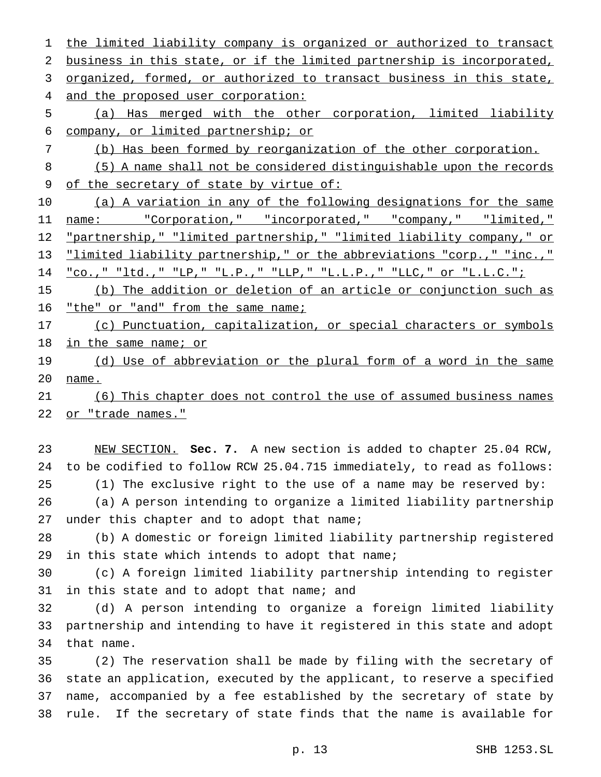the limited liability company is organized or authorized to transact business in this state, or if the limited partnership is incorporated, organized, formed, or authorized to transact business in this state, 4 and the proposed user corporation: (a) Has merged with the other corporation, limited liability company, or limited partnership; or (b) Has been formed by reorganization of the other corporation. (5) A name shall not be considered distinguishable upon the records 9 of the secretary of state by virtue of: 10 (a) A variation in any of the following designations for the same 11 name: "Corporation," "incorporated," "company," "limited," 12 "partnership," "limited partnership," "limited liability company," or "limited liability partnership," or the abbreviations "corp.," "inc.," "co.," "ltd.," "LP," "L.P.," "LLP," "L.L.P.," "LLC," or "L.L.C."; (b) The addition or deletion of an article or conjunction such as 16 "the" or "and" from the same name; 17 (c) Punctuation, capitalization, or special characters or symbols 18 in the same name; or 19 (d) Use of abbreviation or the plural form of a word in the same name. (6) This chapter does not control the use of assumed business names 22 or "trade names."

 NEW SECTION. **Sec. 7.** A new section is added to chapter 25.04 RCW, to be codified to follow RCW 25.04.715 immediately, to read as follows: (1) The exclusive right to the use of a name may be reserved by: (a) A person intending to organize a limited liability partnership

27 under this chapter and to adopt that name;

 (b) A domestic or foreign limited liability partnership registered in this state which intends to adopt that name;

 (c) A foreign limited liability partnership intending to register 31 in this state and to adopt that name; and

 (d) A person intending to organize a foreign limited liability partnership and intending to have it registered in this state and adopt that name.

 (2) The reservation shall be made by filing with the secretary of state an application, executed by the applicant, to reserve a specified name, accompanied by a fee established by the secretary of state by rule. If the secretary of state finds that the name is available for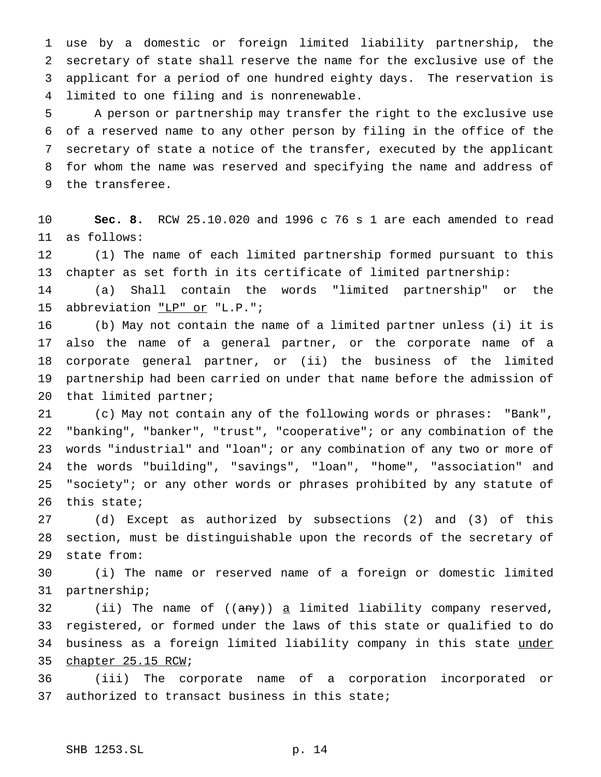use by a domestic or foreign limited liability partnership, the secretary of state shall reserve the name for the exclusive use of the applicant for a period of one hundred eighty days. The reservation is limited to one filing and is nonrenewable.

 A person or partnership may transfer the right to the exclusive use of a reserved name to any other person by filing in the office of the secretary of state a notice of the transfer, executed by the applicant for whom the name was reserved and specifying the name and address of the transferee.

 **Sec. 8.** RCW 25.10.020 and 1996 c 76 s 1 are each amended to read as follows:

 (1) The name of each limited partnership formed pursuant to this chapter as set forth in its certificate of limited partnership:

 (a) Shall contain the words "limited partnership" or the 15 abbreviation "LP" or "L.P.";

 (b) May not contain the name of a limited partner unless (i) it is also the name of a general partner, or the corporate name of a corporate general partner, or (ii) the business of the limited partnership had been carried on under that name before the admission of that limited partner;

 (c) May not contain any of the following words or phrases: "Bank", "banking", "banker", "trust", "cooperative"; or any combination of the words "industrial" and "loan"; or any combination of any two or more of the words "building", "savings", "loan", "home", "association" and "society"; or any other words or phrases prohibited by any statute of this state;

 (d) Except as authorized by subsections (2) and (3) of this section, must be distinguishable upon the records of the secretary of state from:

 (i) The name or reserved name of a foreign or domestic limited partnership;

32 (ii) The name of ((any)) <u>a</u> limited liability company reserved, registered, or formed under the laws of this state or qualified to do 34 business as a foreign limited liability company in this state under chapter 25.15 RCW;

 (iii) The corporate name of a corporation incorporated or authorized to transact business in this state;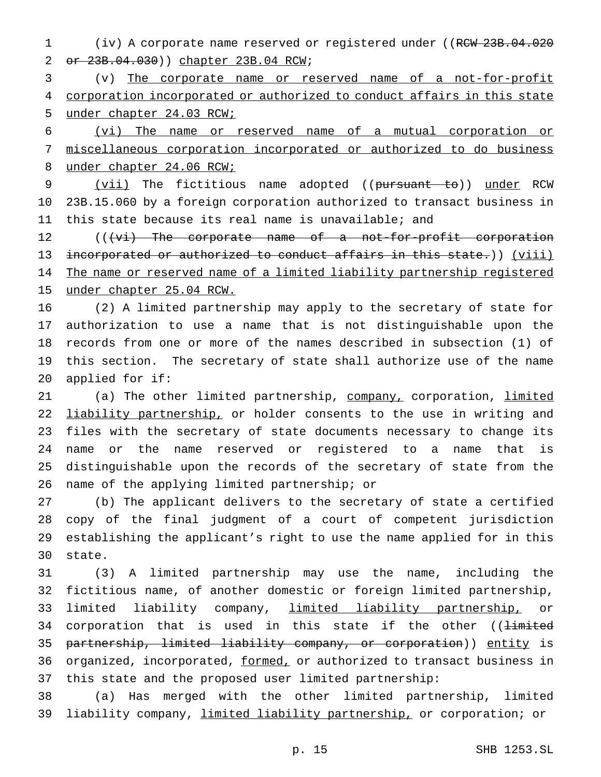1 (iv) A corporate name reserved or registered under ((RCW 23B.04.020) or 23B.04.030)) chapter 23B.04 RCW;

 (v) The corporate name or reserved name of a not-for-profit 4 corporation incorporated or authorized to conduct affairs in this state under chapter 24.03 RCW;

 (vi) The name or reserved name of a mutual corporation or miscellaneous corporation incorporated or authorized to do business 8 under chapter 24.06 RCW;

9 (vii) The fictitious name adopted ((pursuant to)) under RCW 23B.15.060 by a foreign corporation authorized to transact business in this state because its real name is unavailable; and

12 (((vi) The corporate name of a not-for-profit corporation 13 incorporated or authorized to conduct affairs in this state.)) (viii) 14 The name or reserved name of a limited liability partnership registered under chapter 25.04 RCW.

 (2) A limited partnership may apply to the secretary of state for authorization to use a name that is not distinguishable upon the records from one or more of the names described in subsection (1) of this section. The secretary of state shall authorize use of the name applied for if:

21 (a) The other limited partnership, company, corporation, limited 22 liability partnership, or holder consents to the use in writing and files with the secretary of state documents necessary to change its name or the name reserved or registered to a name that is distinguishable upon the records of the secretary of state from the name of the applying limited partnership; or

 (b) The applicant delivers to the secretary of state a certified copy of the final judgment of a court of competent jurisdiction establishing the applicant's right to use the name applied for in this state.

 (3) A limited partnership may use the name, including the fictitious name, of another domestic or foreign limited partnership, 33 limited liability company, limited liability partnership, or 34 corporation that is used in this state if the other ((limited partnership, limited liability company, or corporation)) entity is 36 organized, incorporated, formed, or authorized to transact business in this state and the proposed user limited partnership:

 (a) Has merged with the other limited partnership, limited liability company, limited liability partnership, or corporation; or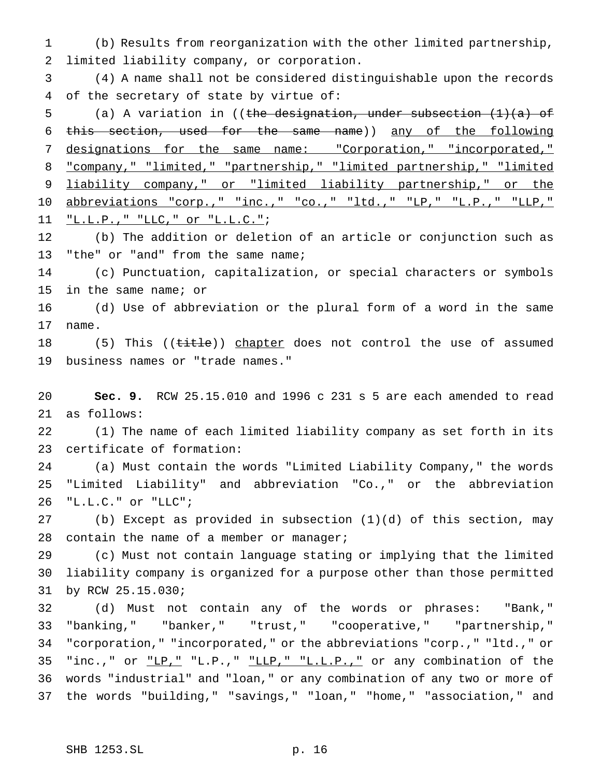(b) Results from reorganization with the other limited partnership, limited liability company, or corporation.

 (4) A name shall not be considered distinguishable upon the records of the secretary of state by virtue of:

 (a) A variation in ((the designation, under subsection (1)(a) of this section, used for the same name)) any of the following 7 designations for the same name: "Corporation," "incorporated," "company," "limited," "partnership," "limited partnership," "limited 9 liability company," or "limited liability partnership," or the 10 abbreviations "corp.," "inc.," "co.," "ltd.," "LP," "L.P.," "LLP," "L.L.P.," "LLC," or "L.L.C.";

 (b) The addition or deletion of an article or conjunction such as "the" or "and" from the same name;

 (c) Punctuation, capitalization, or special characters or symbols in the same name; or

 (d) Use of abbreviation or the plural form of a word in the same name.

18 (5) This ((title)) chapter does not control the use of assumed business names or "trade names."

 **Sec. 9.** RCW 25.15.010 and 1996 c 231 s 5 are each amended to read as follows:

 (1) The name of each limited liability company as set forth in its certificate of formation:

 (a) Must contain the words "Limited Liability Company," the words "Limited Liability" and abbreviation "Co.," or the abbreviation "L.L.C." or "LLC";

 (b) Except as provided in subsection (1)(d) of this section, may 28 contain the name of a member or manager;

 (c) Must not contain language stating or implying that the limited liability company is organized for a purpose other than those permitted by RCW 25.15.030;

 (d) Must not contain any of the words or phrases: "Bank," "banking," "banker," "trust," "cooperative," "partnership," "corporation," "incorporated," or the abbreviations "corp.," "ltd.," or 35 "inc.," or "LP," "L.P.," "LLP," "L.L.P.," or any combination of the words "industrial" and "loan," or any combination of any two or more of the words "building," "savings," "loan," "home," "association," and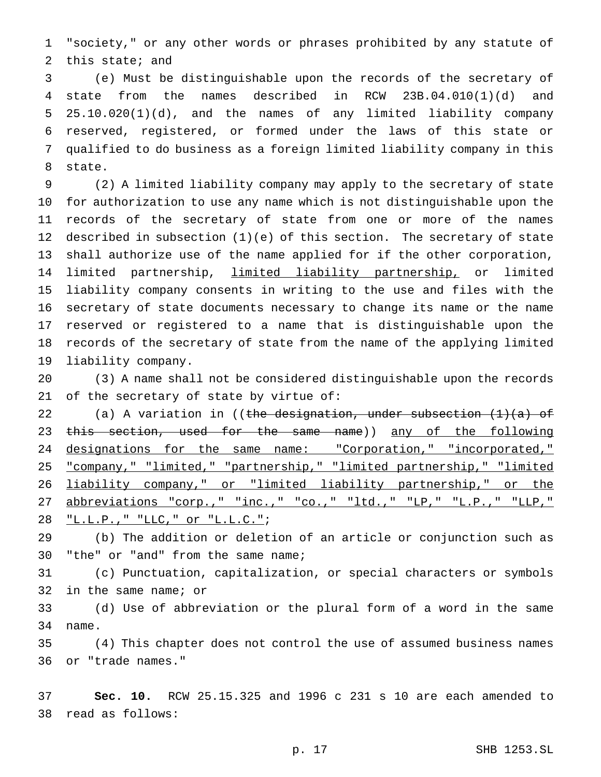"society," or any other words or phrases prohibited by any statute of this state; and

 (e) Must be distinguishable upon the records of the secretary of state from the names described in RCW 23B.04.010(1)(d) and 25.10.020(1)(d), and the names of any limited liability company reserved, registered, or formed under the laws of this state or qualified to do business as a foreign limited liability company in this state.

 (2) A limited liability company may apply to the secretary of state for authorization to use any name which is not distinguishable upon the records of the secretary of state from one or more of the names described in subsection (1)(e) of this section. The secretary of state shall authorize use of the name applied for if the other corporation, 14 limited partnership, limited liability partnership, or limited liability company consents in writing to the use and files with the secretary of state documents necessary to change its name or the name reserved or registered to a name that is distinguishable upon the records of the secretary of state from the name of the applying limited liability company.

 (3) A name shall not be considered distinguishable upon the records of the secretary of state by virtue of:

22 (a) A variation in ((the designation, under subsection  $(1)(a)$  of 23 this section, used for the same name)) any of the following 24 designations for the same name: "Corporation," "incorporated," "company," "limited," "partnership," "limited partnership," "limited liability company," or "limited liability partnership," or the 27 abbreviations "corp.," "inc.," "co.," "ltd.," "LP," "L.P.," "LLP," "L.L.P.," "LLC," or "L.L.C.";

 (b) The addition or deletion of an article or conjunction such as "the" or "and" from the same name;

 (c) Punctuation, capitalization, or special characters or symbols in the same name; or

 (d) Use of abbreviation or the plural form of a word in the same name.

 (4) This chapter does not control the use of assumed business names or "trade names."

 **Sec. 10.** RCW 25.15.325 and 1996 c 231 s 10 are each amended to read as follows: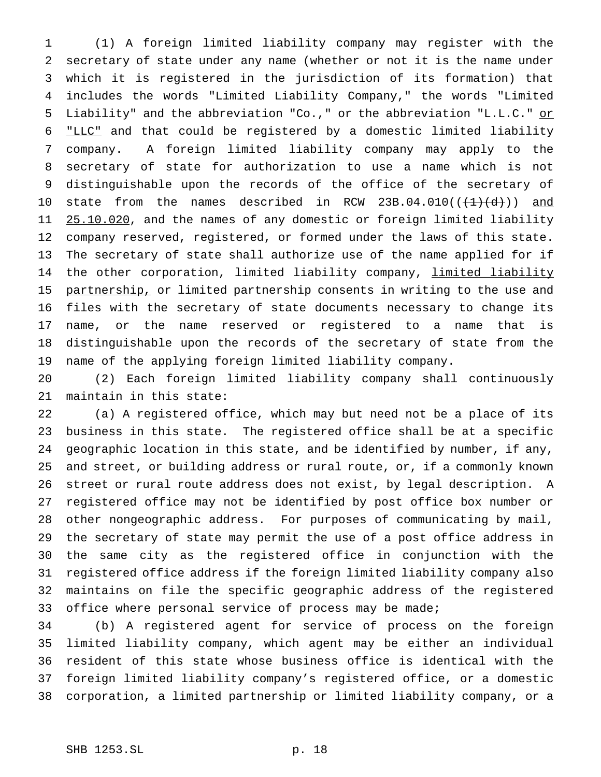(1) A foreign limited liability company may register with the secretary of state under any name (whether or not it is the name under which it is registered in the jurisdiction of its formation) that includes the words "Limited Liability Company," the words "Limited Liability" and the abbreviation "Co.," or the abbreviation "L.L.C." or "LLC" and that could be registered by a domestic limited liability company. A foreign limited liability company may apply to the secretary of state for authorization to use a name which is not distinguishable upon the records of the office of the secretary of 10 state from the names described in RCW 23B.04.010 $((+1)+(d))$  and 11 25.10.020, and the names of any domestic or foreign limited liability company reserved, registered, or formed under the laws of this state. The secretary of state shall authorize use of the name applied for if 14 the other corporation, limited liability company, limited liability 15 partnership, or limited partnership consents in writing to the use and files with the secretary of state documents necessary to change its name, or the name reserved or registered to a name that is distinguishable upon the records of the secretary of state from the name of the applying foreign limited liability company.

 (2) Each foreign limited liability company shall continuously maintain in this state:

 (a) A registered office, which may but need not be a place of its business in this state. The registered office shall be at a specific geographic location in this state, and be identified by number, if any, and street, or building address or rural route, or, if a commonly known street or rural route address does not exist, by legal description. A registered office may not be identified by post office box number or other nongeographic address. For purposes of communicating by mail, the secretary of state may permit the use of a post office address in the same city as the registered office in conjunction with the registered office address if the foreign limited liability company also maintains on file the specific geographic address of the registered 33 office where personal service of process may be made;

 (b) A registered agent for service of process on the foreign limited liability company, which agent may be either an individual resident of this state whose business office is identical with the foreign limited liability company's registered office, or a domestic corporation, a limited partnership or limited liability company, or a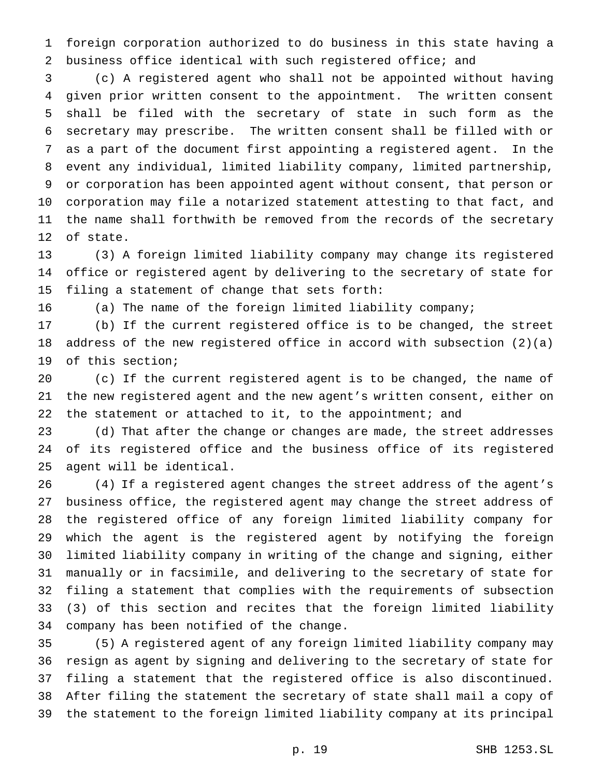foreign corporation authorized to do business in this state having a business office identical with such registered office; and

 (c) A registered agent who shall not be appointed without having given prior written consent to the appointment. The written consent shall be filed with the secretary of state in such form as the secretary may prescribe. The written consent shall be filled with or as a part of the document first appointing a registered agent. In the event any individual, limited liability company, limited partnership, or corporation has been appointed agent without consent, that person or corporation may file a notarized statement attesting to that fact, and the name shall forthwith be removed from the records of the secretary of state.

 (3) A foreign limited liability company may change its registered office or registered agent by delivering to the secretary of state for filing a statement of change that sets forth:

(a) The name of the foreign limited liability company;

 (b) If the current registered office is to be changed, the street address of the new registered office in accord with subsection (2)(a) of this section;

 (c) If the current registered agent is to be changed, the name of the new registered agent and the new agent's written consent, either on 22 the statement or attached to it, to the appointment; and

 (d) That after the change or changes are made, the street addresses of its registered office and the business office of its registered agent will be identical.

 (4) If a registered agent changes the street address of the agent's business office, the registered agent may change the street address of the registered office of any foreign limited liability company for which the agent is the registered agent by notifying the foreign limited liability company in writing of the change and signing, either manually or in facsimile, and delivering to the secretary of state for filing a statement that complies with the requirements of subsection (3) of this section and recites that the foreign limited liability company has been notified of the change.

 (5) A registered agent of any foreign limited liability company may resign as agent by signing and delivering to the secretary of state for filing a statement that the registered office is also discontinued. After filing the statement the secretary of state shall mail a copy of the statement to the foreign limited liability company at its principal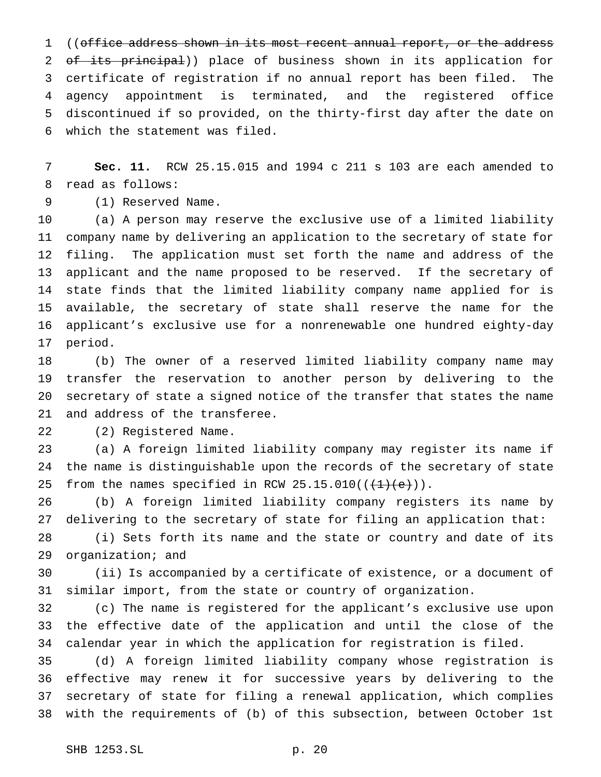1 ((office address shown in its most recent annual report, or the address 2 of its principal)) place of business shown in its application for certificate of registration if no annual report has been filed. The agency appointment is terminated, and the registered office discontinued if so provided, on the thirty-first day after the date on which the statement was filed.

 **Sec. 11.** RCW 25.15.015 and 1994 c 211 s 103 are each amended to read as follows:

(1) Reserved Name.

 (a) A person may reserve the exclusive use of a limited liability company name by delivering an application to the secretary of state for filing. The application must set forth the name and address of the applicant and the name proposed to be reserved. If the secretary of state finds that the limited liability company name applied for is available, the secretary of state shall reserve the name for the applicant's exclusive use for a nonrenewable one hundred eighty-day period.

 (b) The owner of a reserved limited liability company name may transfer the reservation to another person by delivering to the secretary of state a signed notice of the transfer that states the name and address of the transferee.

(2) Registered Name.

 (a) A foreign limited liability company may register its name if the name is distinguishable upon the records of the secretary of state 25 from the names specified in RCW  $25.15.010((\text{+1})(e))$ .

 (b) A foreign limited liability company registers its name by delivering to the secretary of state for filing an application that:

 (i) Sets forth its name and the state or country and date of its organization; and

 (ii) Is accompanied by a certificate of existence, or a document of similar import, from the state or country of organization.

 (c) The name is registered for the applicant's exclusive use upon the effective date of the application and until the close of the calendar year in which the application for registration is filed.

 (d) A foreign limited liability company whose registration is effective may renew it for successive years by delivering to the secretary of state for filing a renewal application, which complies with the requirements of (b) of this subsection, between October 1st